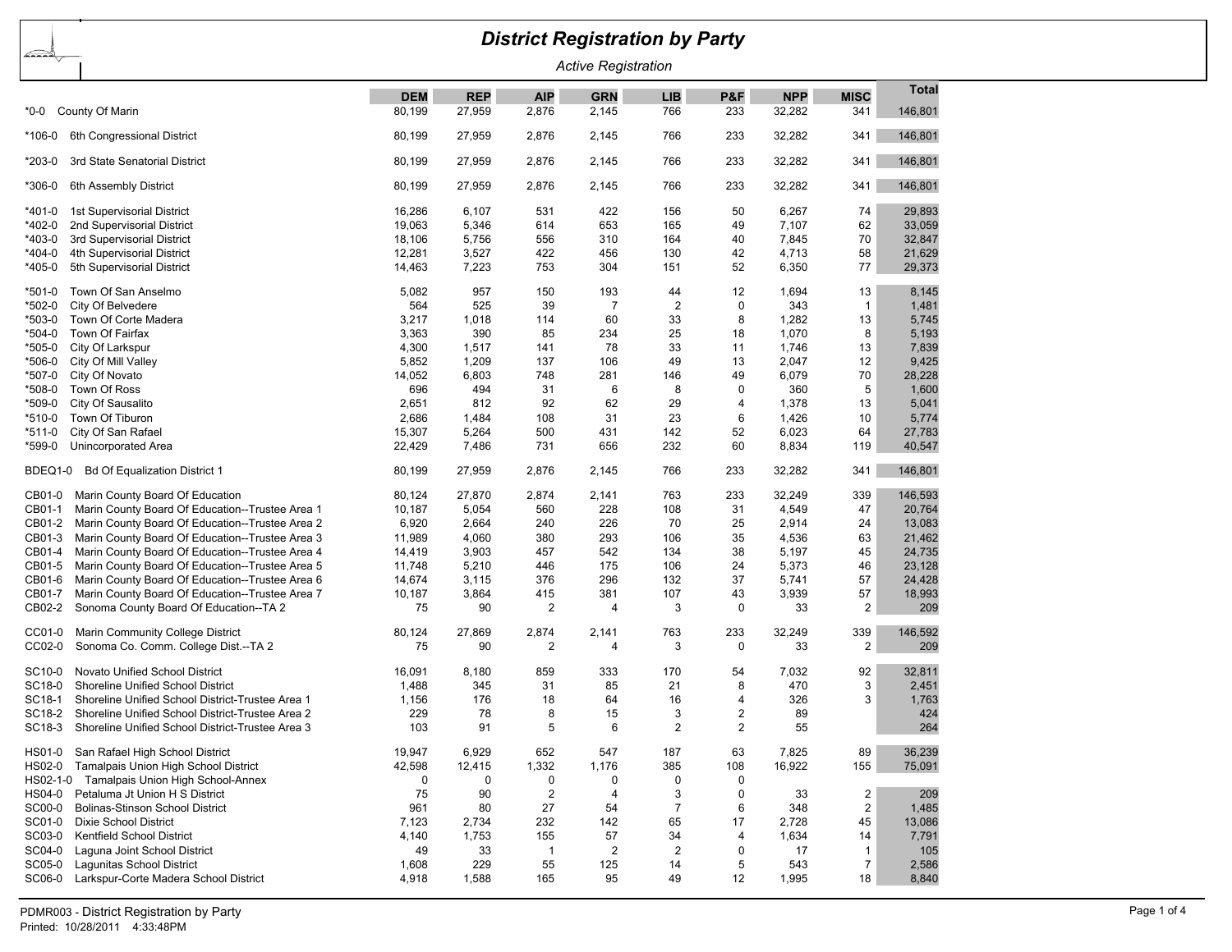## *District Registration by Party*

*Active Registration*

|                    |                                                  |            |            |                |            |                |                |            |                         | Total   |
|--------------------|--------------------------------------------------|------------|------------|----------------|------------|----------------|----------------|------------|-------------------------|---------|
|                    |                                                  | <b>DEM</b> | <b>REP</b> | <b>AIP</b>     | <b>GRN</b> | <b>LIB</b>     | P&F            | <b>NPP</b> | <b>MISC</b>             |         |
| *0-0               | County Of Marin                                  | 80,199     | 27,959     | 2,876          | 2,145      | 766            | 233            | 32,282     | 341                     | 146,801 |
| *106-0             | 6th Congressional District                       | 80,199     | 27,959     | 2,876          | 2,145      | 766            | 233            | 32,282     | 341                     | 146,801 |
|                    |                                                  |            |            |                |            |                |                |            |                         |         |
| *203-0             | 3rd State Senatorial District                    | 80,199     | 27,959     | 2,876          | 2,145      | 766            | 233            | 32,282     | 341                     | 146,801 |
| *306-0             | 6th Assembly District                            | 80,199     | 27,959     | 2,876          | 2,145      | 766            | 233            | 32,282     | 341                     | 146,801 |
| *401-0             | 1st Supervisorial District                       | 16,286     | 6,107      | 531            | 422        | 156            | 50             | 6,267      | 74                      | 29,893  |
| *402-0             | 2nd Supervisorial District                       | 19,063     | 5,346      | 614            | 653        | 165            | 49             | 7,107      | 62                      | 33,059  |
| *403-0             | 3rd Supervisorial District                       | 18,106     | 5,756      | 556            | 310        | 164            | 40             | 7,845      | 70                      | 32,847  |
| $*404-0$           | 4th Supervisorial District                       | 12,281     | 3,527      | 422            | 456        | 130            | 42             | 4,713      | 58                      | 21,629  |
| *405-0             | 5th Supervisorial District                       | 14,463     | 7,223      | 753            | 304        | 151            | 52             | 6,350      | 77                      | 29,373  |
|                    |                                                  |            |            |                |            |                |                |            |                         |         |
| $*501-0$           | Town Of San Anselmo                              | 5,082      | 957        | 150            | 193        | 44             | 12             | 1,694      | 13                      | 8,145   |
| *502-0             | City Of Belvedere                                | 564        | 525        | 39             | 7          | $\overline{c}$ | 0              | 343        | $\mathbf{1}$            | 1,481   |
| *503-0             | Town Of Corte Madera                             | 3,217      | 1,018      | 114            | 60         | 33             | 8              | 1,282      | 13                      | 5,745   |
| *504-0             | Town Of Fairfax                                  | 3,363      | 390        | 85             | 234        | 25             | 18             | 1,070      | 8                       | 5,193   |
| *505-0             | City Of Larkspur                                 | 4,300      | 1,517      | 141            | 78         | 33             | 11             | 1,746      | 13                      | 7,839   |
| *506-0             | City Of Mill Valley                              | 5,852      | 1,209      | 137            | 106        | 49             | 13             | 2,047      | 12                      | 9,425   |
| *507-0             | City Of Novato                                   | 14,052     | 6,803      | 748            | 281        | 146            | 49             | 6,079      | 70                      | 28,228  |
| *508-0             | Town Of Ross                                     | 696        | 494        | 31             | 6          | 8              | $\mathbf 0$    | 360        | 5                       | 1,600   |
| *509-0             | City Of Sausalito                                | 2,651      | 812        | 92             | 62         | 29             | 4              | 1,378      | 13                      | 5,041   |
| *510-0             | Town Of Tiburon                                  | 2,686      | 1,484      | 108            | 31         | 23             | 6              | 1,426      | 10                      | 5,774   |
| *511-0             | City Of San Rafael                               | 15,307     | 5,264      | 500            | 431        | 142            | 52             | 6,023      | 64                      | 27,783  |
| *599-0             | Unincorporated Area                              | 22,429     | 7,486      | 731            | 656        | 232            | 60             | 8,834      | 119                     | 40,547  |
| BDEQ1-0            | <b>Bd Of Equalization District 1</b>             | 80,199     | 27,959     | 2,876          | 2,145      | 766            | 233            | 32,282     | 341                     | 146,801 |
|                    |                                                  |            |            |                |            |                |                |            |                         |         |
| CB01-0             | Marin County Board Of Education                  | 80,124     | 27,870     | 2,874          | 2,141      | 763            | 233            | 32,249     | 339                     | 146,593 |
| CB01-1             | Marin County Board Of Education--Trustee Area 1  | 10,187     | 5,054      | 560            | 228        | 108            | 31             | 4,549      | 47                      | 20,764  |
| CB01-2             | Marin County Board Of Education--Trustee Area 2  | 6,920      | 2,664      | 240            | 226        | 70             | 25             | 2,914      | 24                      | 13,083  |
| CB01-3             | Marin County Board Of Education--Trustee Area 3  | 11,989     | 4,060      | 380            | 293        | 106            | 35             | 4,536      | 63                      | 21,462  |
| CB01-4             | Marin County Board Of Education--Trustee Area 4  | 14,419     | 3,903      | 457            | 542        | 134            | 38             | 5,197      | 45                      | 24,735  |
| CB01-5             | Marin County Board Of Education--Trustee Area 5  | 11,748     | 5,210      | 446            | 175        | 106            | 24             | 5,373      | 46                      | 23,128  |
| CB01-6             | Marin County Board Of Education--Trustee Area 6  | 14,674     | 3,115      | 376            | 296        | 132            | 37             | 5,741      | 57                      | 24,428  |
| CB01-7             | Marin County Board Of Education--Trustee Area 7  | 10,187     | 3,864      | 415            | 381        | 107            | 43             | 3,939      | 57                      | 18,993  |
| CB02-2             | Sonoma County Board Of Education--TA 2           | 75         | 90         | $\overline{2}$ | 4          | 3              | 0              | 33         | $\overline{2}$          | 209     |
| CC01-0             | Marin Community College District                 | 80,124     | 27,869     | 2,874          | 2,141      | 763            | 233            | 32,249     | 339                     | 146,592 |
| CC02-0             | Sonoma Co. Comm. College Dist.--TA 2             | 75         | 90         | 2              | 4          | 3              | 0              | 33         | $\overline{\mathbf{c}}$ | 209     |
|                    |                                                  |            |            |                |            |                |                |            |                         |         |
| SC <sub>10-0</sub> | Novato Unified School District                   | 16,091     | 8,180      | 859            | 333        | 170            | 54             | 7,032      | 92                      | 32,811  |
| SC18-0             | <b>Shoreline Unified School District</b>         | 1,488      | 345        | 31             | 85         | 21             | 8              | 470        | 3                       | 2,451   |
| SC18-1             | Shoreline Unified School District-Trustee Area 1 | 1,156      | 176        | 18             | 64         | 16             | 4              | 326        | 3                       | 1,763   |
| SC18-2             | Shoreline Unified School District-Trustee Area 2 | 229        | 78         | 8              | 15         | 3              | 2              | 89         |                         | 424     |
| SC18-3             | Shoreline Unified School District-Trustee Area 3 | 103        | 91         | 5              | 6          | $\overline{2}$ | $\overline{2}$ | 55         |                         | 264     |
| HS01-0             | San Rafael High School District                  | 19,947     | 6,929      | 652            | 547        | 187            | 63             | 7,825      | 89                      | 36,239  |
|                    | HS02-0 Tamalpais Union High School District      | 42,598     | 12,415     | 1,332          | 1,176      | 385            | 108            | 16,922     | 155                     | 75,091  |
|                    | HS02-1-0 Tamalpais Union High School-Annex       | 0          | 0          | 0              | $\Omega$   | 0              | $\Omega$       |            |                         |         |
|                    | HS04-0 Petaluma Jt Union H S District            | 75         | 90         | $\overline{2}$ | 4          | 3              | 0              | 33         | $\overline{2}$          | 209     |
| SC00-0             | <b>Bolinas-Stinson School District</b>           | 961        |            |                |            | $\overline{7}$ | 6              |            | $\overline{2}$          | 1,485   |
|                    | Dixie School District                            |            | 80         | 27<br>232      | 54         |                | 17             | 348        |                         |         |
| SC01-0             |                                                  | 7,123      | 2,734      |                | 142        | 65             |                | 2,728      | 45                      | 13,086  |
| SC03-0             | Kentfield School District                        | 4,140      | 1,753      | 155            | 57         | 34             | 4              | 1,634      | 14                      | 7,791   |
| SC04-0             | Laquna Joint School District                     | 49         | 33         | $\mathbf{1}$   | 2          | $\overline{c}$ | 0              | 17         | $\mathbf{1}$            | 105     |
| SC05-0             | Laqunitas School District                        | 1,608      | 229        | 55             | 125        | 14             | 5              | 543        | $\overline{7}$          | 2,586   |
| SC06-0             | Larkspur-Corte Madera School District            | 4,918      | 1,588      | 165            | 95         | 49             | 12             | 1,995      | 18                      | 8,840   |
|                    |                                                  |            |            |                |            |                |                |            |                         |         |

∠≅≫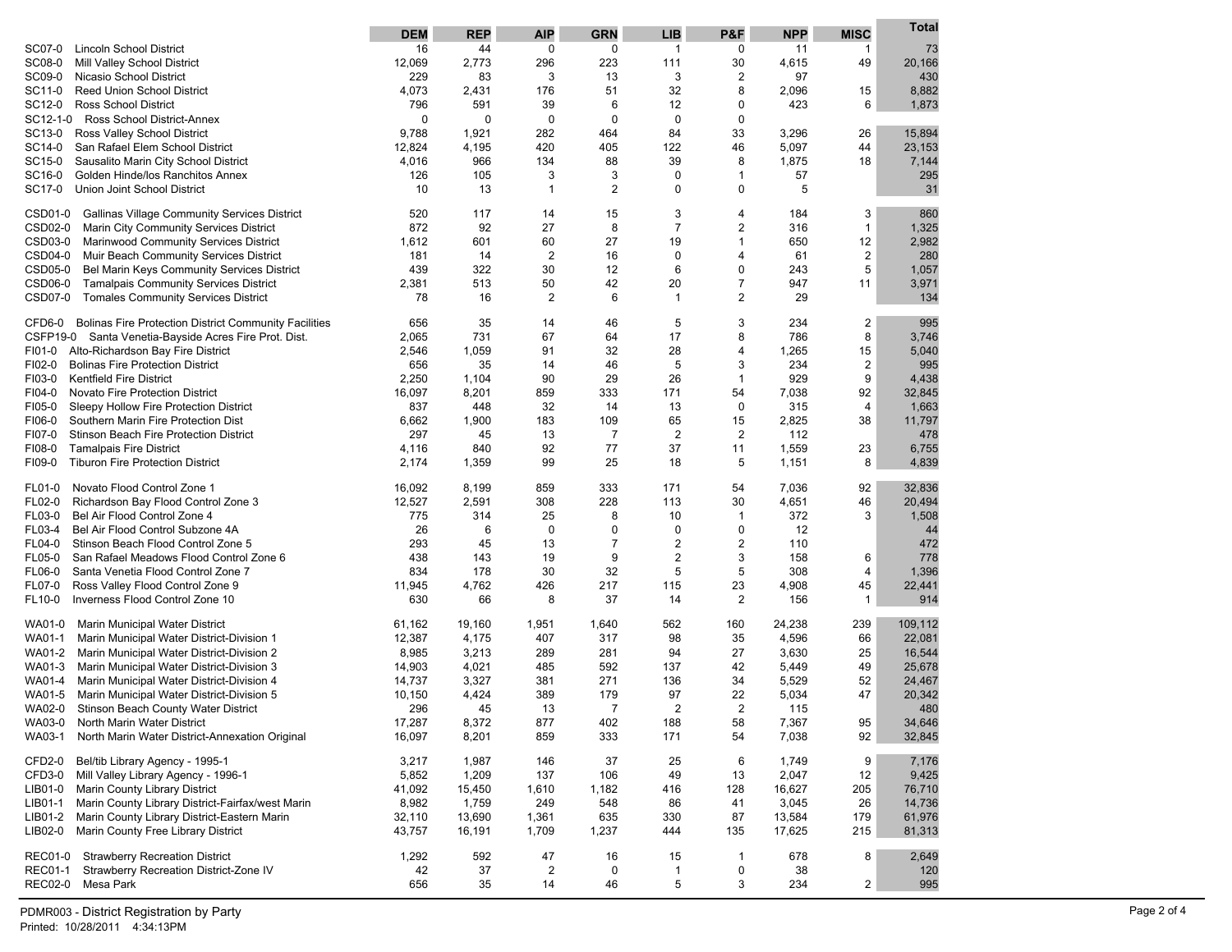|                                                                | <b>DEM</b> | <b>REP</b>  | <b>AIP</b>     | <b>GRN</b>     | <b>LIB</b>              | P&F              | <b>NPP</b> | <b>MISC</b>    | <b>Total</b> |
|----------------------------------------------------------------|------------|-------------|----------------|----------------|-------------------------|------------------|------------|----------------|--------------|
| SC07-0<br><b>Lincoln School District</b>                       | 16         | 44          | 0              | 0              | $\mathbf{1}$            | 0                | 11         | -1             | 73           |
| SC08-0<br>Mill Valley School District                          | 12,069     | 2,773       | 296            | 223            | 111                     | 30               | 4,615      | 49             | 20,166       |
| SC09-0<br>Nicasio School District                              | 229        | 83          | 3              | 13             | 3                       | 2                | 97         |                | 430          |
| SC11-0<br><b>Reed Union School District</b>                    | 4,073      | 2,431       | 176            | 51             | 32                      | 8                | 2,096      | 15             | 8,882        |
| SC12-0<br><b>Ross School District</b>                          | 796        | 591         | 39             | 6              | 12                      | 0                | 423        | 6              | 1,873        |
| SC12-1-0<br>Ross School District-Annex                         | 0          | $\mathbf 0$ | 0              | $\mathbf 0$    | 0                       | 0                |            |                |              |
| SC13-0<br>Ross Valley School District                          | 9,788      | 1,921       | 282            | 464            | 84                      | 33               | 3,296      | 26             | 15,894       |
| SC14-0<br>San Rafael Elem School District                      | 12,824     | 4,195       | 420            | 405            | 122                     | 46               | 5,097      | 44             | 23,153       |
| SC15-0<br>Sausalito Marin City School District                 | 4,016      | 966         | 134            | 88             | 39                      | 8                | 1,875      | 18             | 7,144        |
| SC16-0<br>Golden Hinde/los Ranchitos Annex                     | 126        | 105         | 3              | 3              | 0                       | $\mathbf{1}$     | 57         |                | 295          |
| SC17-0<br><b>Union Joint School District</b>                   | 10         | 13          | $\mathbf{1}$   | $\overline{2}$ | 0                       | 0                | 5          |                | 31           |
| CSD01-0<br><b>Gallinas Village Community Services District</b> | 520        | 117         | 14             | 15             | 3                       | 4                | 184        | 3              | 860          |
| CSD02-0<br>Marin City Community Services District              | 872        | 92          | 27             | 8              | $\overline{7}$          | 2                | 316        | 1              | 1,325        |
| CSD03-0<br>Marinwood Community Services District               | 1,612      | 601         | 60             | 27             | 19                      | $\mathbf{1}$     | 650        | 12             | 2,982        |
| CSD04-0<br>Muir Beach Community Services District              | 181        | 14          | $\overline{2}$ | 16             | 0                       | 4                | 61         | 2              | 280          |
| CSD05-0<br>Bel Marin Keys Community Services District          | 439        | 322         | 30             | 12             | 6                       | 0                | 243        | 5              | 1,057        |
| CSD06-0<br><b>Tamalpais Community Services District</b>        | 2,381      | 513         | 50             | 42             | 20                      | 7                | 947        | 11             | 3,971        |
| CSD07-0<br><b>Tomales Community Services District</b>          | 78         | 16          | $\overline{2}$ | 6              | 1                       | 2                | 29         |                | 134          |
| CFD6-0 Bolinas Fire Protection District Community Facilities   | 656        | 35          | 14             | 46             | 5                       | 3                | 234        | 2              | 995          |
| CSFP19-0 Santa Venetia-Bayside Acres Fire Prot. Dist.          | 2,065      | 731         | 67             | 64             | 17                      | 8                | 786        | 8              | 3,746        |
| FI01-0<br>Alto-Richardson Bay Fire District                    | 2,546      | 1,059       | 91             | 32             | 28                      | 4                | 1,265      | 15             | 5,040        |
| <b>Bolinas Fire Protection District</b><br>FI02-0              | 656        | 35          | 14             | 46             | 5                       | 3                | 234        | 2              | 995          |
| <b>Kentfield Fire District</b><br>FI03-0                       | 2,250      | 1,104       | 90             | 29             | 26                      | $\mathbf{1}$     | 929        | 9              | 4,438        |
| FI04-0<br>Novato Fire Protection District                      | 16,097     | 8,201       | 859            | 333            | 171                     | 54               | 7,038      | 92             | 32,845       |
| FI05-0<br>Sleepy Hollow Fire Protection District               | 837        | 448         | 32             | 14             | 13                      | 0                | 315        | $\overline{4}$ | 1,663        |
| FI06-0<br>Southern Marin Fire Protection Dist                  | 6,662      | 1,900       | 183            | 109            | 65                      | 15               | 2,825      | 38             | 11,797       |
| FI07-0<br>Stinson Beach Fire Protection District               | 297        | 45          | 13             | $\overline{7}$ | $\overline{2}$          | $\overline{2}$   | 112        |                | 478          |
| FI08-0<br><b>Tamalpais Fire District</b>                       | 4,116      | 840         | 92             | 77             | 37                      | 11               | 1,559      | 23             | 6,755        |
| <b>Tiburon Fire Protection District</b><br>FI09-0              | 2,174      | 1,359       | 99             | 25             | 18                      | 5                | 1,151      | 8              | 4,839        |
| FL01-0<br>Novato Flood Control Zone 1                          | 16,092     | 8,199       | 859            | 333            | 171                     | 54               | 7,036      | 92             | 32,836       |
| FL02-0<br>Richardson Bay Flood Control Zone 3                  | 12,527     | 2,591       | 308            | 228            | 113                     | 30               | 4,651      | 46             | 20,494       |
| FL03-0<br>Bel Air Flood Control Zone 4                         | 775        | 314         | 25             | 8              | 10                      | $\mathbf{1}$     | 372        | 3              | 1,508        |
| FL03-4<br>Bel Air Flood Control Subzone 4A                     | 26         | 6           | $\mathbf 0$    | 0              | 0                       | 0                | 12         |                | 44           |
| FL04-0<br>Stinson Beach Flood Control Zone 5                   | 293        | 45          | 13             | $\overline{7}$ | $\overline{\mathbf{c}}$ | $\boldsymbol{2}$ | 110        |                | 472          |
| FL05-0<br>San Rafael Meadows Flood Control Zone 6              | 438        | 143         | 19             | 9              | $\overline{\mathbf{c}}$ | 3                | 158        | 6              | 778          |
| FL06-0<br>Santa Venetia Flood Control Zone 7                   | 834        | 178         | 30             | 32             | 5                       | 5                | 308        | 4              | 1,396        |
| FL07-0<br>Ross Valley Flood Control Zone 9                     | 11,945     | 4,762       | 426            | 217            | 115                     | 23               | 4,908      | 45             | 22,441       |
| FL10-0<br>Inverness Flood Control Zone 10                      | 630        | 66          | 8              | 37             | 14                      | $\sqrt{2}$       | 156        | $\mathbf{1}$   | 914          |
| WA01-0<br>Marin Municipal Water District                       | 61,162     | 19,160      | 1,951          | 1,640          | 562                     | 160              | 24,238     | 239            | 109,112      |
| Marin Municipal Water District-Division 1<br>WA01-1            | 12,387     | 4,175       | 407            | 317            | 98                      | 35               | 4,596      | 66             | 22,081       |
| WA01-2<br>Marin Municipal Water District-Division 2            | 8,985      | 3,213       | 289            | 281            | 94                      | 27               | 3,630      | 25             | 16,544       |
| WA01-3<br>Marin Municipal Water District-Division 3            | 14,903     | 4,021       | 485            | 592            | 137                     | 42               | 5,449      | 49             | 25,678       |
| WA01-4<br>Marin Municipal Water District-Division 4            | 14,737     | 3,327       | 381            | 271            | 136                     | 34               | 5,529      | 52             | 24,467       |
| WA01-5<br>Marin Municipal Water District-Division 5            | 10,150     | 4,424       | 389            | 179            | 97                      | 22               | 5,034      | 47             | 20,342       |
| WA02-0<br>Stinson Beach County Water District                  | 296        | 45          | 13             | $\overline{7}$ | $\overline{c}$          | $\overline{c}$   | 115        |                | 480          |
| WA03-0<br>North Marin Water District                           | 17,287     | 8,372       | 877            | 402            | 188                     | 58               | 7,367      | 95             | 34,646       |
| WA03-1<br>North Marin Water District-Annexation Original       | 16,097     | 8,201       | 859            | 333            | 171                     | 54               | 7,038      | 92             | 32,845       |
| CFD2-0<br>Bel/tib Library Agency - 1995-1                      | 3,217      | 1,987       | 146            | 37             | 25                      | 6                | 1,749      | 9              | 7,176        |
| CFD3-0<br>Mill Valley Library Agency - 1996-1                  | 5,852      | 1,209       | 137            | 106            | 49                      | 13               | 2,047      | 12             | 9,425        |
| Marin County Library District<br>LIB01-0                       | 41,092     | 15,450      | 1,610          | 1,182          | 416                     | 128              | 16,627     | 205            | 76,710       |
| Marin County Library District-Fairfax/west Marin<br>LIB01-1    | 8,982      | 1,759       | 249            | 548            | 86                      | 41               | 3,045      | 26             | 14,736       |
| Marin County Library District-Eastern Marin<br>LIB01-2         | 32,110     | 13,690      | 1,361          | 635            | 330                     | 87               | 13,584     | 179            | 61,976       |
| LIB02-0<br>Marin County Free Library District                  | 43,757     | 16,191      | 1,709          | 1,237          | 444                     | 135              | 17,625     | 215            | 81,313       |
| <b>REC01-0</b><br><b>Strawberry Recreation District</b>        | 1,292      | 592         | 47             | 16             | 15                      | $\mathbf{1}$     | 678        | 8              | 2,649        |
| <b>REC01-1</b><br>Strawberry Recreation District-Zone IV       | 42         | 37          | $\overline{2}$ | 0              | 1                       | 0                | 38         |                | 120          |
| <b>REC02-0</b><br>Mesa Park                                    | 656        | 35          | 14             | 46             | 5                       | 3                | 234        | $\overline{2}$ | 995          |
|                                                                |            |             |                |                |                         |                  |            |                |              |

PDMR003 - District Registration by Party Printed: 10/28/2011 4:34:13PM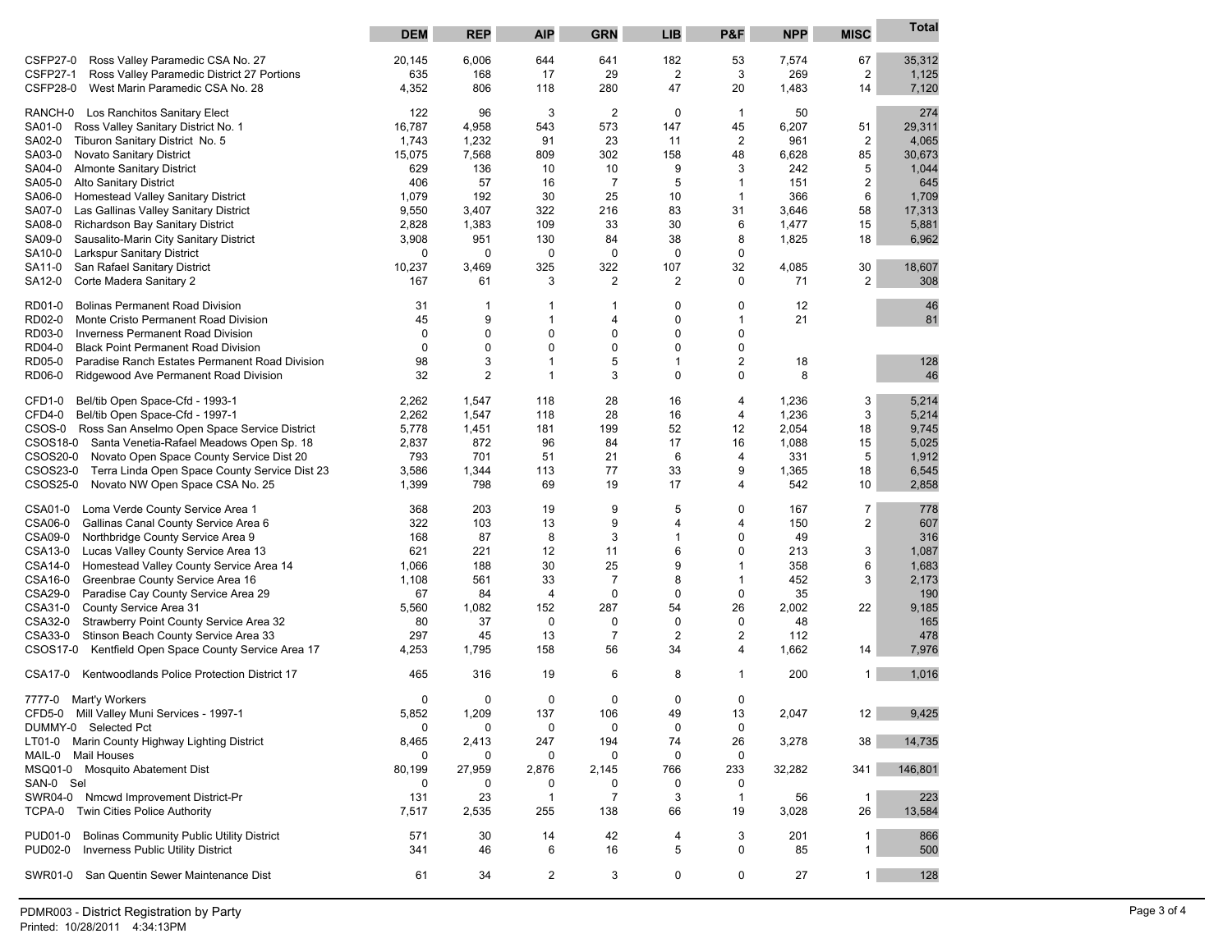|                                                                                                  | <b>DEM</b>   | <b>REP</b>     | <b>AIP</b>         | <b>GRN</b>     | <b>LIB</b>              | P&F                     | <b>NPP</b>   | <b>MISC</b>             | <b>Total</b>   |
|--------------------------------------------------------------------------------------------------|--------------|----------------|--------------------|----------------|-------------------------|-------------------------|--------------|-------------------------|----------------|
|                                                                                                  |              |                |                    |                |                         |                         |              |                         |                |
| Ross Valley Paramedic CSA No. 27<br>CSFP27-0                                                     | 20,145       | 6,006          | 644                | 641            | 182                     | 53                      | 7,574        | 67                      | 35,312         |
| <b>CSFP27-1</b><br>Ross Valley Paramedic District 27 Portions                                    | 635          | 168            | 17                 | 29             | 2                       | 3                       | 269          | $\overline{\mathbf{c}}$ | 1,125          |
| CSFP28-0<br>West Marin Paramedic CSA No. 28                                                      | 4,352        | 806            | 118                | 280            | 47                      | 20                      | 1,483        | 14                      | 7,120          |
|                                                                                                  |              |                |                    |                |                         |                         |              |                         |                |
| RANCH-0 Los Ranchitos Sanitary Elect                                                             | 122          | 96             | 3                  | 2              | 0                       | $\mathbf{1}$            | 50           |                         | 274            |
| SA01-0<br>Ross Valley Sanitary District No. 1                                                    | 16,787       | 4,958          | 543                | 573            | 147                     | 45                      | 6,207        | 51                      | 29,311         |
| SA02-0<br>Tiburon Sanitary District No. 5                                                        | 1,743        | 1,232          | 91                 | 23             | 11                      | $\overline{\mathbf{c}}$ | 961          | $\boldsymbol{2}$        | 4,065          |
| Novato Sanitary District<br>SA03-0                                                               | 15,075       | 7,568          | 809                | 302            | 158                     | 48                      | 6,628        | 85                      | 30,673         |
| <b>Almonte Sanitary District</b><br>SA04-0                                                       | 629          | 136            | 10                 | 10             | 9                       | 3                       | 242          | 5                       | 1,044          |
| SA05-0<br><b>Alto Sanitary District</b>                                                          | 406          | 57             | 16                 | 7              | 5                       | -1                      | 151          | $\overline{\mathbf{c}}$ | 645            |
| SA06-0<br>Homestead Valley Sanitary District                                                     | 1,079        | 192            | 30                 | 25             | 10                      | $\mathbf{1}$            | 366          | 6                       | 1,709          |
| SA07-0<br>Las Gallinas Valley Sanitary District                                                  | 9,550        | 3,407          | 322                | 216            | 83<br>30                | 31                      | 3,646        | 58                      | 17,313         |
| SA08-0<br>Richardson Bay Sanitary District                                                       | 2,828        | 1,383<br>951   | 109                | 33<br>84       |                         | 6<br>8                  | 1,477        | 15                      | 5,881<br>6,962 |
| SA09-0<br>Sausalito-Marin City Sanitary District<br>Larkspur Sanitary District                   | 3,908<br>0   | $\mathbf 0$    | 130<br>0           | 0              | 38<br>0                 | 0                       | 1,825        | 18                      |                |
| SA10-0<br>San Rafael Sanitary District<br>SA11-0                                                 | 10,237       | 3,469          | 325                | 322            | 107                     | 32                      | 4,085        | 30                      | 18,607         |
| Corte Madera Sanitary 2<br>SA12-0                                                                | 167          | 61             | 3                  | $\overline{2}$ | $\overline{c}$          | 0                       | 71           | $\overline{c}$          | 308            |
|                                                                                                  |              |                |                    |                |                         |                         |              |                         |                |
| <b>Bolinas Permanent Road Division</b><br>RD01-0                                                 | 31           | -1             | -1                 | 1              | 0                       | 0                       | 12           |                         | 46             |
| RD02-0<br>Monte Cristo Permanent Road Division                                                   | 45           | 9              | $\mathbf 1$        | 4              | 0                       | $\mathbf{1}$            | 21           |                         | 81             |
| RD03-0<br><b>Inverness Permanent Road Division</b>                                               | 0            | $\mathbf 0$    | 0                  | 0              | 0                       | 0                       |              |                         |                |
| RD04-0<br><b>Black Point Permanent Road Division</b>                                             | $\mathbf 0$  | $\mathbf 0$    | 0                  | 0              | 0                       | 0                       |              |                         |                |
| RD05-0<br>Paradise Ranch Estates Permanent Road Division                                         | 98           | 3              | $\mathbf 1$        | 5              | $\mathbf{1}$            | 2                       | 18           |                         | 128            |
| RD06-0<br>Ridgewood Ave Permanent Road Division                                                  | 32           | $\overline{2}$ | $\mathbf 1$        | 3              | 0                       | 0                       | 8            |                         | 46             |
|                                                                                                  |              |                |                    |                |                         |                         |              |                         |                |
| Bel/tib Open Space-Cfd - 1993-1<br>CFD <sub>1-0</sub>                                            | 2,262        | 1,547          | 118                | 28             | 16                      | 4                       | 1,236        | 3                       | 5,214          |
| Bel/tib Open Space-Cfd - 1997-1<br>CFD4-0                                                        | 2,262        | 1,547          | 118                | 28             | 16                      | 4                       | 1,236        | 3                       | 5,214          |
| CSOS-0 Ross San Anselmo Open Space Service District                                              | 5,778        | 1,451          | 181                | 199            | 52                      | 12                      | 2,054        | 18                      | 9,745          |
| CSOS18-0<br>Santa Venetia-Rafael Meadows Open Sp. 18<br>Novato Open Space County Service Dist 20 | 2,837<br>793 | 872<br>701     | 96<br>51           | 84<br>21       | 17<br>6                 | 16                      | 1,088<br>331 | 15<br>5                 | 5,025          |
| CSOS20-0<br>CSOS23-0<br>Terra Linda Open Space County Service Dist 23                            | 3,586        | 1,344          |                    | 77             | 33                      | 4<br>9                  |              | 18                      | 1,912<br>6,545 |
| CSOS25-0<br>Novato NW Open Space CSA No. 25                                                      | 1,399        | 798            | 113<br>69          | 19             | 17                      | 4                       | 1,365<br>542 | 10                      | 2,858          |
|                                                                                                  |              |                |                    |                |                         |                         |              |                         |                |
| CSA01-0<br>Loma Verde County Service Area 1                                                      | 368          | 203            | 19                 | 9              | 5                       | 0                       | 167          | $\overline{7}$          | 778            |
| CSA06-0<br>Gallinas Canal County Service Area 6                                                  | 322          | 103            | 13                 | 9              | 4                       | 4                       | 150          | $\overline{\mathbf{c}}$ | 607            |
| CSA09-0<br>Northbridge County Service Area 9                                                     | 168          | 87             | 8                  | 3              | 1                       | 0                       | 49           |                         | 316            |
| CSA13-0<br>Lucas Valley County Service Area 13                                                   | 621          | 221            | 12                 | 11             | 6                       | 0                       | 213          | 3                       | 1,087          |
| CSA14-0<br>Homestead Valley County Service Area 14                                               | 1,066        | 188            | 30                 | 25             | 9                       | 1                       | 358          | 6                       | 1,683          |
| CSA16-0<br>Greenbrae County Service Area 16                                                      | 1,108        | 561            | 33                 | $\overline{7}$ | 8                       | 1                       | 452          | 3                       | 2,173          |
| CSA29-0<br>Paradise Cay County Service Area 29                                                   | 67           | 84             | 4                  | 0              | 0                       | 0                       | 35           |                         | 190            |
| CSA31-0<br>County Service Area 31                                                                | 5,560        | 1,082          | 152                | 287            | 54                      | 26                      | 2,002        | 22                      | 9,185          |
| CSA32-0<br>Strawberry Point County Service Area 32                                               | 80           | 37             | 0                  | 0              | 0                       | 0                       | 48           |                         | 165            |
| CSA33-0<br>Stinson Beach County Service Area 33                                                  | 297          | 45             | 13                 | 7              | $\overline{\mathbf{c}}$ | 2                       | 112          |                         | 478            |
| CSOS17-0<br>Kentfield Open Space County Service Area 17                                          | 4,253        | 1,795          | 158                | 56             | 34                      | 4                       | 1,662        | 14                      | 7,976          |
| <b>CSA17-0</b><br>Kentwoodlands Police Protection District 17                                    | 465          | 316            | 19                 | 6              | 8                       | 1                       | 200          | 1                       | 1,016          |
|                                                                                                  |              |                |                    |                |                         |                         |              |                         |                |
| 7777-0 Mart'y Workers<br>CFD5-0                                                                  | 0<br>5,852   | 0<br>1,209     | $\mathbf 0$<br>137 | 0<br>106       | $\mathbf 0$<br>49       | 0<br>13                 | 2,047        | 12                      | 9,425          |
| Mill Valley Muni Services - 1997-1<br>DUMMY-0 Selected Pct                                       | 0            | 0              | 0                  | 0              | 0                       | 0                       |              |                         |                |
| LT01-0 Marin County Highway Lighting District                                                    | 8,465        | 2,413          | 247                | 194            | 74                      | 26                      | 3,278        | 38                      | 14,735         |
| <b>Mail Houses</b><br>MAIL-0                                                                     | 0            | $\mathbf 0$    | 0                  | 0              | 0                       | 0                       |              |                         |                |
| MSQ01-0 Mosquito Abatement Dist                                                                  | 80,199       | 27,959         | 2,876              | 2,145          | 766                     | 233                     | 32,282       | 341                     | 146,801        |
| SAN-0 Sel                                                                                        | 0            | 0              | 0                  | 0              | 0                       | 0                       |              |                         |                |
| SWR04-0<br>Nmcwd Improvement District-Pr                                                         | 131          | 23             | 1                  | 7              | 3                       | $\mathbf{1}$            | 56           | 1                       | 223            |
| TCPA-0<br>Twin Cities Police Authority                                                           | 7,517        | 2,535          | 255                | 138            | 66                      | 19                      | 3,028        | 26                      | 13,584         |
|                                                                                                  |              |                |                    |                |                         |                         |              |                         |                |
| <b>PUD01-0</b><br><b>Bolinas Community Public Utility District</b>                               | 571          | 30             | 14                 | 42             | 4                       | 3                       | 201          | 1                       | 866            |
| <b>PUD02-0</b><br><b>Inverness Public Utility District</b>                                       | 341          | 46             | 6                  | 16             | 5                       | 0                       | 85           | 1                       | 500            |
| SWR01-0<br>San Quentin Sewer Maintenance Dist                                                    |              | 34             | $\overline{2}$     | 3              | 0                       | $\mathbf 0$             |              | 1                       | 128            |
|                                                                                                  | 61           |                |                    |                |                         |                         | 27           |                         |                |
|                                                                                                  |              |                |                    |                |                         |                         |              |                         |                |